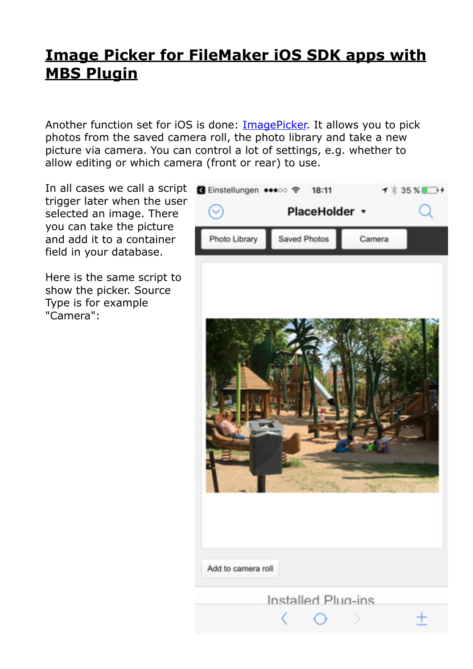## **[Image Picker for FileMaker iOS SDK apps with](https://www.mbsplugins.de/archive/2017-06-20/Image_Picker_for_FileMaker_iOS)  [MBS Plugin](https://www.mbsplugins.de/archive/2017-06-20/Image_Picker_for_FileMaker_iOS)**

Another function set for iOS is done: **ImagePicker**. It allows you to pick photos from the saved camera roll, the photo library and take a new picture via camera. You can control a lot of settings, e.g. whether to allow editing or which camera (front or rear) to use.

In all cases we call a script **a** Einstellungen ••••• ₹ trigger later when the user selected an image. There you can take the picture and add it to a container field in your database.

Here is the same script to show the picker. Source Type is for example "Camera":